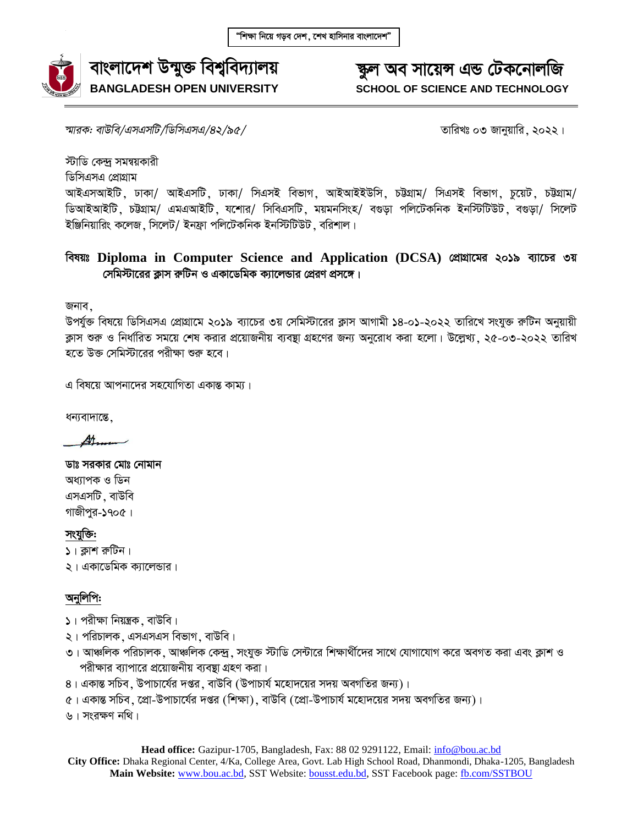

#### ক্ষুল অব সায়েন্স এন্ড টেকনোলজি **SCHOOL OF SCIENCE AND TECHNOLOGY**

*শ্মারক: বাউবি/এসএসটি/ডিসিএসএ/৪২/৯৫/* সাক্ষরতার সাক্ষরতার সাক্ষরতার বাবে অনিয়ার ২০২২।

স্টাডি কেন্দ সমন্বয়কারী

ডিসিএসএ প্রোগ্রাম

আইএসআইটি, ঢাকা/ আইএসটি, ঢাকা/ সিএসই বিভাগ, আইআইইউসি, চট্টগ্ৰাম/ সিএসই বিভাগ, চুয়েট, চট্টগ্ৰাম/ ডিআইআইটি, চউগ্ৰাম/ এমএআইটি, যশোর/ সিবিএসটি, ময়মনসিংহ/ বগুড়া পলিটেকনিক ইনস্টিটিউট, বগুড়া/ সিলেট ইঞ্জিনিয়ারিং কলেজ মিলেট/ ইনফ্রা পলিটেকনিক ইনস্টিটিউট বরিশাল।

#### **বিষয়ঃ Diploma in Computer Science and Application (DCSA) প্রোগ্রামের ২০১৯ ব্যাচের ৩য়**  $\frac{1}{2}$ সমিস্টারের ক্লাস রুটিন ও একাডেমিক ক্যালেন্ডার প্রেরণ প্রসঙ্গে।

জনাব,

উপর্যুক্ত বিষয়ে ডিসিএসএ প্রোগ্রামে ২০১৯ ব্যাচের ৩য় সেমিস্টারের ক্লাস আগামী ১৪-০১-২০২২ তারিখে সংযুক্ত রুটিন অনুয়ায়ী ক্লাস শুরু ও নির্ধারিত সময়ে শেষ করার প্রয়োজনীয় ব্যবস্থা গ্রহণের জন্য অনুরোধ করা হলো। উল্লেখ্য , ২৫-০৩-২০২২ তারিখ হতে উক্ত সেমিস্টারের পরীক্ষা শুরু হবে।

এ বিষয়ে আপনাদের সহযোগিতা একান্ত কাম্য।

ধন্যবাদান্তে,

处

ডাঃ সরকার মোঃ নোমান অধ্যাপক ও ডিন এসএসটি . বাউবি গাজীপর-১৭০৫।

সংযুক্তি:

- $\mathsf{I} \setminus \mathsf{I}$  ক্লাগ রুটিন ।
- ২। একাডেমিক ক্যালেন্ডার।

#### অনুলিপি:

- $\mathsf{S}$ । পরীক্ষা নিয়ন্ত্রক, বাউবি।
- ২। পরিচালক, এসএসএস বিভাগ, বাউবি।
- ৩। আঞ্চলিক পরিচালক, আঞ্চলিক কেন্দ্র, সংযুক্ত স্টাডি সেন্টারে শিক্ষার্থীদের সাথে যোগাযোগ করে অবগত করা এবং ক্লাশ ও পরীক্ষার ব্যাপারে প্রয়োজনীয় ব্যবস্থা গ্রহণ করা।
- 8। একান্ত সচিব, উপাচার্যের দপ্তর, বাউবি (উপাচার্য মহোদয়ের সদয় অবগতির জন্য)।
- $\alpha$ । একান্ত সচিব, প্রো-উপাচার্যের দপ্তর (শিক্ষা), বাউবি (প্রো-উপাচার্য মহোদয়ের সদয় অবগতির জন্য)।

৬। সংরক্ষণ নথি।

Head office: Gazipur-1705, Bangladesh, Fax: 88 02 9291122, Email: *info@bou.ac.bd* **City Office:** Dhaka Regional Center, 4/Ka, College Area, Govt. Lab High School Road, Dhanmondi, Dhaka-1205, Bangladesh **Main Website:** [www.bou.ac.bd,](http://www.bou.ac.bd/) SST Website[: bousst.edu.bd,](http://www.bousst.edu.bd/) SST Facebook page: [fb.com/SSTBOU](http://www.fb.com/SSTBOU)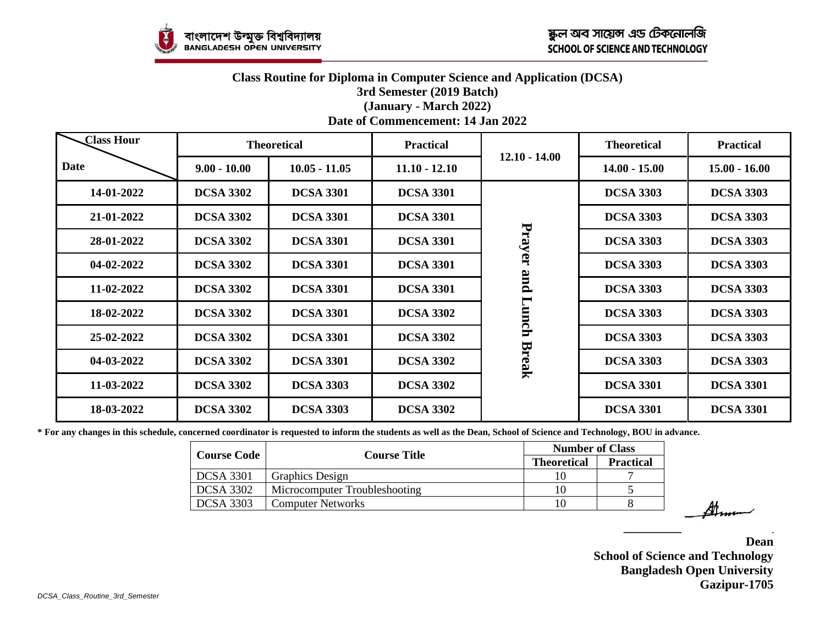#### **Class Routine for Diploma in Computer Science and Application (DCSA) 3rd Semester (2019 Batch) (January - March 2022) Date of Commencement: 14 Jan 2022**

| <b>Class Hour</b> |                  | <b>Theoretical</b> | <b>Practical</b> |                 | <b>Theoretical</b> | <b>Practical</b> |
|-------------------|------------------|--------------------|------------------|-----------------|--------------------|------------------|
| <b>Date</b>       | $9.00 - 10.00$   | $10.05 - 11.05$    | $11.10 - 12.10$  | $12.10 - 14.00$ | $14.00 - 15.00$    | $15.00 - 16.00$  |
| 14-01-2022        | <b>DCSA 3302</b> | <b>DCSA 3301</b>   | <b>DCSA 3301</b> |                 | <b>DCSA 3303</b>   | <b>DCSA 3303</b> |
| 21-01-2022        | <b>DCSA 3302</b> | <b>DCSA 3301</b>   | <b>DCSA 3301</b> |                 | <b>DCSA 3303</b>   | <b>DCSA 3303</b> |
| 28-01-2022        | <b>DCSA 3302</b> | <b>DCSA 3301</b>   | <b>DCSA 3301</b> | Prayer          | <b>DCSA 3303</b>   | <b>DCSA 3303</b> |
| 04-02-2022        | <b>DCSA 3302</b> | <b>DCSA 3301</b>   | <b>DCSA 3301</b> |                 | <b>DCSA 3303</b>   | <b>DCSA 3303</b> |
| 11-02-2022        | <b>DCSA 3302</b> | <b>DCSA 3301</b>   | <b>DCSA 3301</b> | pure            | <b>DCSA 3303</b>   | <b>DCSA 3303</b> |
| 18-02-2022        | <b>DCSA 3302</b> | <b>DCSA 3301</b>   | <b>DCSA 3302</b> | Lunch           | <b>DCSA 3303</b>   | <b>DCSA 3303</b> |
| 25-02-2022        | <b>DCSA 3302</b> | <b>DCSA 3301</b>   | <b>DCSA 3302</b> |                 | <b>DCSA 3303</b>   | <b>DCSA 3303</b> |
| 04-03-2022        | <b>DCSA 3302</b> | <b>DCSA 3301</b>   | <b>DCSA 3302</b> | <b>Break</b>    | <b>DCSA 3303</b>   | <b>DCSA 3303</b> |
| 11-03-2022        | <b>DCSA 3302</b> | <b>DCSA 3303</b>   | <b>DCSA 3302</b> |                 | <b>DCSA 3301</b>   | <b>DCSA 3301</b> |
| 18-03-2022        | <b>DCSA 3302</b> | <b>DCSA 3303</b>   | <b>DCSA 3302</b> |                 | <b>DCSA 3301</b>   | <b>DCSA 3301</b> |

**\* For any changes in this schedule, concerned coordinator is requested to inform the students as well as the Dean, School of Science and Technology, BOU in advance.**

|                    | <b>Course Title</b>           | <b>Number of Class</b> |                  |
|--------------------|-------------------------------|------------------------|------------------|
| <b>Course Code</b> |                               | <b>Theoretical</b>     | <b>Practical</b> |
| <b>DCSA 3301</b>   | <b>Graphics Design</b>        |                        |                  |
| <b>DCSA 3302</b>   | Microcomputer Troubleshooting | 10                     |                  |
| <b>DCSA 3303</b>   | <b>Computer Networks</b>      | 10                     |                  |

**Dean School of Science and Technology Bangladesh Open University Gazipur-1705**

**\_\_\_\_\_\_\_\_\_\_\_\_\_\_\_\_\_\_\_\_\_\_\_\_**

Anna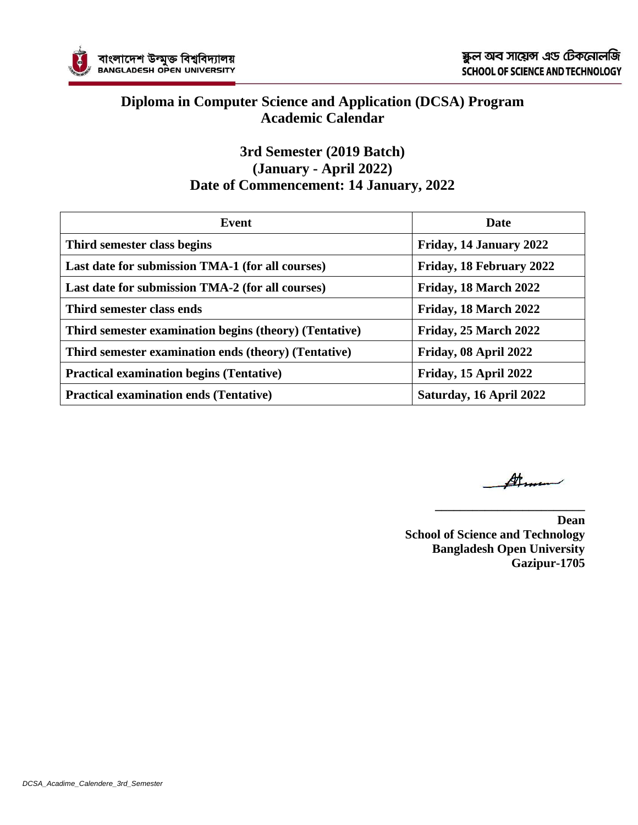

#### **Diploma in Computer Science and Application (DCSA) Program Academic Calendar**

#### **3rd Semester (2019 Batch) (January - April 2022) Date of Commencement: 14 January, 2022**

| Event                                                  | Date                     |
|--------------------------------------------------------|--------------------------|
| Third semester class begins                            | Friday, 14 January 2022  |
| Last date for submission TMA-1 (for all courses)       | Friday, 18 February 2022 |
| Last date for submission TMA-2 (for all courses)       | Friday, 18 March 2022    |
| Third semester class ends                              | Friday, 18 March 2022    |
| Third semester examination begins (theory) (Tentative) | Friday, 25 March 2022    |
| Third semester examination ends (theory) (Tentative)   | Friday, 08 April 2022    |
| <b>Practical examination begins (Tentative)</b>        | Friday, 15 April 2022    |
| <b>Practical examination ends (Tentative)</b>          | Saturday, 16 April 2022  |

Atron

**\_\_\_\_\_\_\_\_\_\_\_\_\_\_\_\_\_\_\_\_\_\_\_\_**

**Dean School of Science and Technology Bangladesh Open University Gazipur-1705**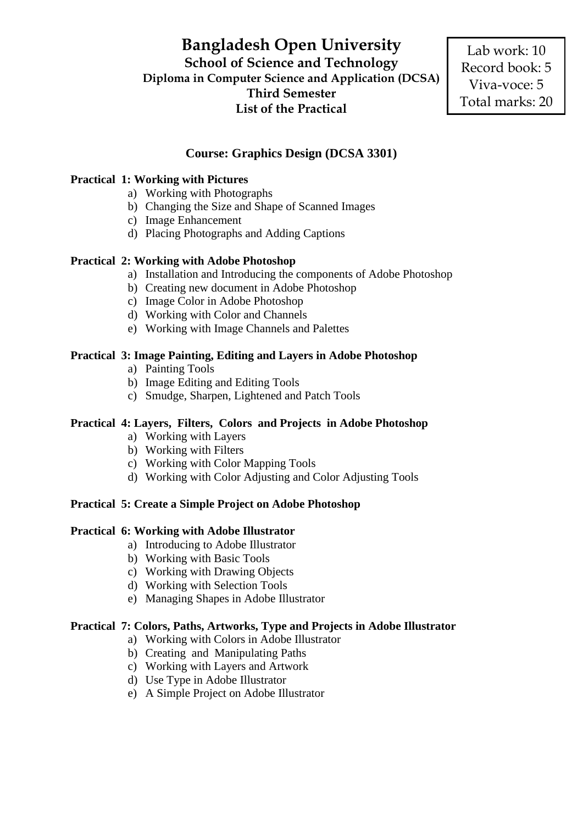### **Bangladesh Open University**

**School of Science and Technology Diploma in Computer Science and Application (DCSA) Third Semester List of the Practical**

Lab work: 10 Record book: 5 Viva-voce: 5 Total marks: 20

#### **Course: Graphics Design (DCSA 3301)**

#### **Practical 1: Working with Pictures**

- a) Working with Photographs
- b) Changing the Size and Shape of Scanned Images
- c) Image Enhancement
- d) Placing Photographs and Adding Captions

#### **Practical 2: Working with Adobe Photoshop**

- a) Installation and Introducing the components of Adobe Photoshop
- b) Creating new document in Adobe Photoshop
- c) Image Color in Adobe Photoshop
- d) Working with Color and Channels
- e) Working with Image Channels and Palettes

#### **Practical 3: Image Painting, Editing and Layers in Adobe Photoshop**

- a) Painting Tools
- b) Image Editing and Editing Tools
- c) Smudge, Sharpen, Lightened and Patch Tools

#### **Practical 4: Layers, Filters, Colors and Projects in Adobe Photoshop**

- a) Working with Layers
- b) Working with Filters
- c) Working with Color Mapping Tools
- d) Working with Color Adjusting and Color Adjusting Tools

#### **Practical 5: Create a Simple Project on Adobe Photoshop**

#### **Practical 6: Working with Adobe Illustrator**

- a) Introducing to Adobe Illustrator
- b) Working with Basic Tools
- c) Working with Drawing Objects
- d) Working with Selection Tools
- e) Managing Shapes in Adobe Illustrator

#### **Practical 7: Colors, Paths, Artworks, Type and Projects in Adobe Illustrator**

- a) Working with Colors in Adobe Illustrator
- b) Creating and Manipulating Paths
- c) Working with Layers and Artwork
- d) Use Type in Adobe Illustrator
- e) A Simple Project on Adobe Illustrator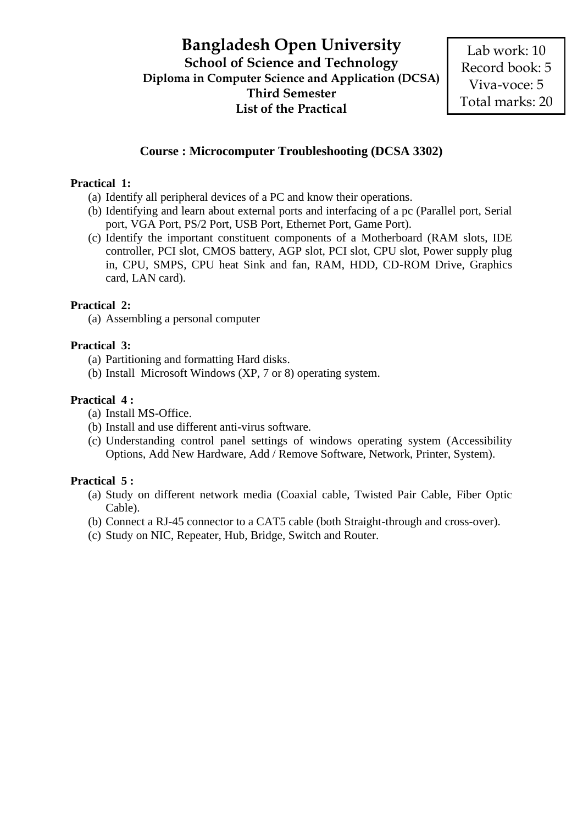#### **Course : Microcomputer Troubleshooting (DCSA 3302)**

#### **Practical 1:**

- (a) Identify all peripheral devices of a PC and know their operations.
- (b) Identifying and learn about external ports and interfacing of a pc (Parallel port, Serial port, VGA Port, PS/2 Port, USB Port, Ethernet Port, Game Port).
- (c) Identify the important constituent components of a Motherboard (RAM slots, IDE controller, PCI slot, CMOS battery, AGP slot, PCI slot, CPU slot, Power supply plug in, CPU, SMPS, CPU heat Sink and fan, RAM, HDD, CD-ROM Drive, Graphics card, LAN card).

#### **Practical 2:**

(a) Assembling a personal computer

#### **Practical 3:**

- (a) Partitioning and formatting Hard disks.
- (b) Install Microsoft Windows (XP, 7 or 8) operating system.

#### **Practical 4 :**

- (a) Install MS-Office.
- (b) Install and use different anti-virus software.
- (c) Understanding control panel settings of windows operating system (Accessibility Options, Add New Hardware, Add / Remove Software, Network, Printer, System).

#### **Practical 5 :**

- (a) Study on different network media (Coaxial cable, Twisted Pair Cable, Fiber Optic Cable).
- (b) Connect a RJ-45 connector to a CAT5 cable (both Straight-through and cross-over).
- (c) Study on NIC, Repeater, Hub, Bridge, Switch and Router.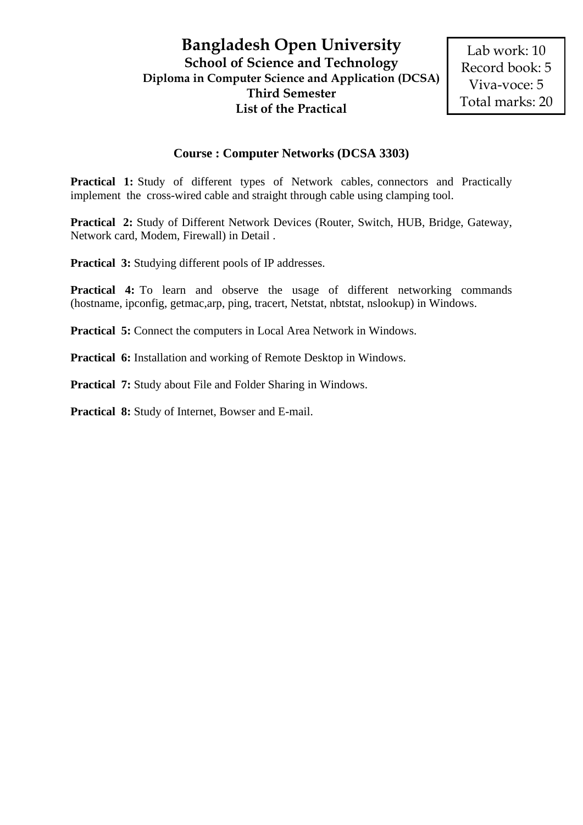#### **Bangladesh Open University School of Science and Technology Diploma in Computer Science and Application (DCSA) Third Semester List of the Practical**

#### **Course : Computer Networks (DCSA 3303)**

**Practical 1:** Study of different types of Network cables, connectors and Practically implement the cross-wired cable and straight through cable using clamping tool.

**Practical 2:** Study of Different Network Devices (Router, Switch, HUB, Bridge, Gateway, Network card, Modem, Firewall) in Detail .

**Practical 3:** Studying different pools of IP addresses.

**Practical 4:** To learn and observe the usage of different networking commands (hostname, ipconfig, getmac,arp, ping, tracert, Netstat, nbtstat, nslookup) in Windows.

**Practical 5:** Connect the computers in Local Area Network in Windows.

**Practical 6:** Installation and working of Remote Desktop in Windows.

**Practical 7:** Study about File and Folder Sharing in Windows.

**Practical 8:** Study of Internet, Bowser and E-mail.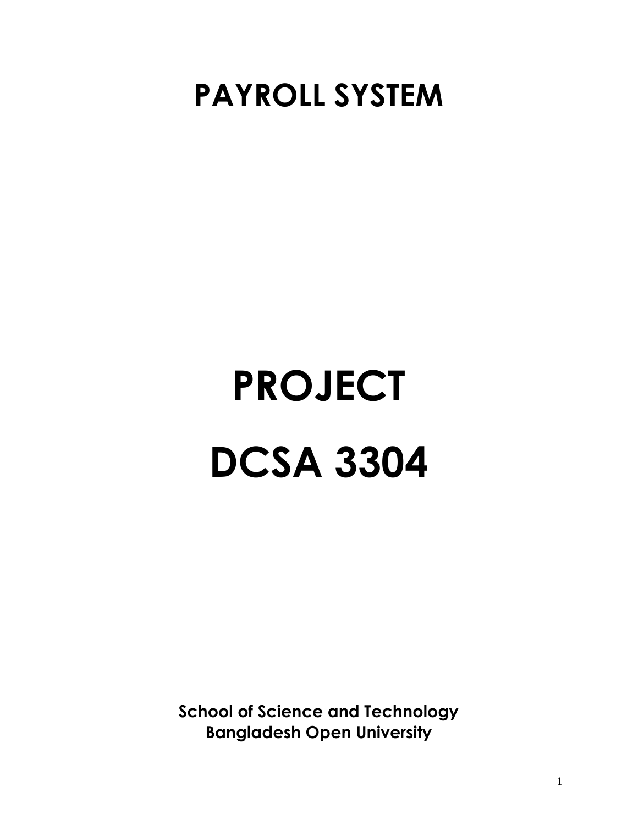## **PAYROLL SYSTEM**

# **PROJECT DCSA 3304**

**School of Science and Technology Bangladesh Open University**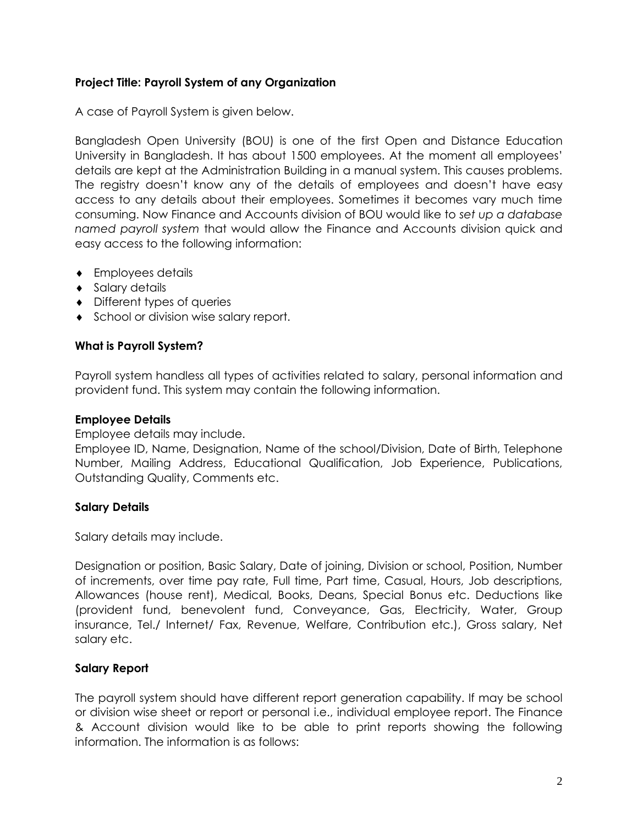#### **Project Title: Payroll System of any Organization**

A case of Payroll System is given below.

Bangladesh Open University (BOU) is one of the first Open and Distance Education University in Bangladesh. It has about 1500 employees. At the moment all employees' details are kept at the Administration Building in a manual system. This causes problems. The registry doesn't know any of the details of employees and doesn't have easy access to any details about their employees. Sometimes it becomes vary much time consuming. Now Finance and Accounts division of BOU would like to *set up a database named payroll system* that would allow the Finance and Accounts division quick and easy access to the following information:

- Employees details
- ◆ Salary details
- Different types of queries
- School or division wise salary report.

#### **What is Payroll System?**

Payroll system handless all types of activities related to salary, personal information and provident fund. This system may contain the following information.

#### **Employee Details**

Employee details may include.

Employee ID, Name, Designation, Name of the school/Division, Date of Birth, Telephone Number, Mailing Address, Educational Qualification, Job Experience, Publications, Outstanding Quality, Comments etc.

#### **Salary Details**

Salary details may include.

Designation or position, Basic Salary, Date of joining, Division or school, Position, Number of increments, over time pay rate, Full time, Part time, Casual, Hours, Job descriptions, Allowances (house rent), Medical, Books, Deans, Special Bonus etc. Deductions like (provident fund, benevolent fund, Conveyance, Gas, Electricity, Water, Group insurance, Tel./ Internet/ Fax, Revenue, Welfare, Contribution etc.), Gross salary, Net salary etc.

#### **Salary Report**

The payroll system should have different report generation capability. If may be school or division wise sheet or report or personal i.e., individual employee report. The Finance & Account division would like to be able to print reports showing the following information. The information is as follows: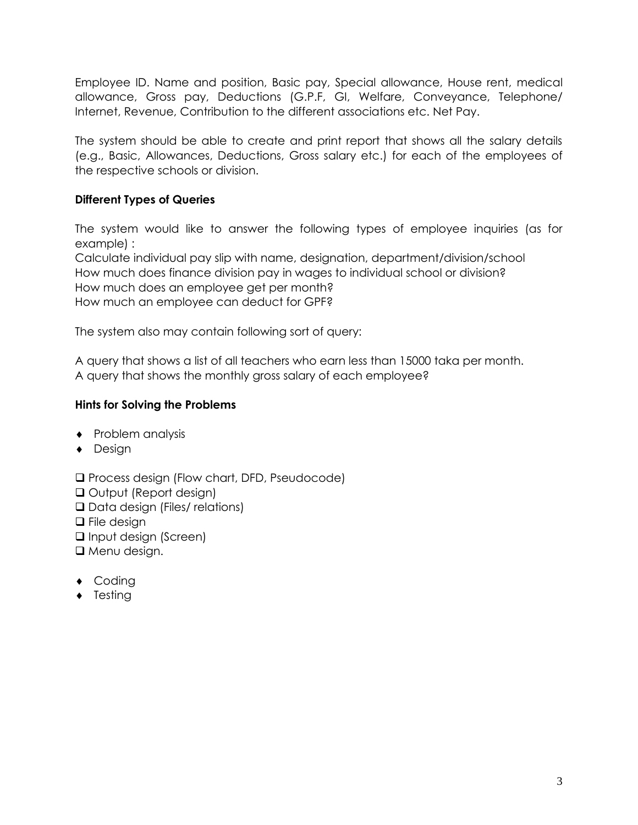Employee ID. Name and position, Basic pay, Special allowance, House rent, medical allowance, Gross pay, Deductions (G.P.F, GI, Welfare, Conveyance, Telephone/ Internet, Revenue, Contribution to the different associations etc. Net Pay.

The system should be able to create and print report that shows all the salary details (e.g., Basic, Allowances, Deductions, Gross salary etc.) for each of the employees of the respective schools or division.

#### **Different Types of Queries**

The system would like to answer the following types of employee inquiries (as for example) :

Calculate individual pay slip with name, designation, department/division/school How much does finance division pay in wages to individual school or division? How much does an employee get per month? How much an employee can deduct for GPF?

The system also may contain following sort of query:

A query that shows a list of all teachers who earn less than 15000 taka per month. A query that shows the monthly gross salary of each employee?

#### **Hints for Solving the Problems**

- $\bullet$  Problem analysis
- ◆ Design

❑ Process design (Flow chart, DFD, Pseudocode) ❑ Output (Report design) ❑ Data design (Files/ relations) ❑ File design ❑ Input design (Screen) ❑ Menu design.

- ◆ Coding
- $\bullet$  Testing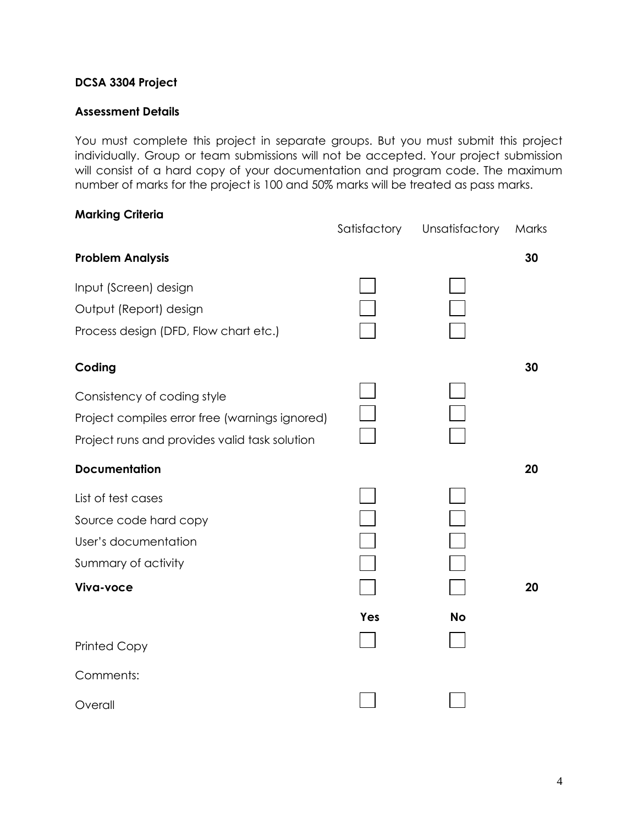#### **DCSA 3304 Project**

#### **Assessment Details**

You must complete this project in separate groups. But you must submit this project individually. Group or team submissions will not be accepted. Your project submission will consist of a hard copy of your documentation and program code. The maximum number of marks for the project is 100 and 50% marks will be treated as pass marks.

| <b>Marking Criteria</b>                        |              |                |       |
|------------------------------------------------|--------------|----------------|-------|
|                                                | Satisfactory | Unsatisfactory | Marks |
| <b>Problem Analysis</b>                        |              |                | 30    |
| Input (Screen) design                          |              |                |       |
| Output (Report) design                         |              |                |       |
| Process design (DFD, Flow chart etc.)          |              |                |       |
| Coding                                         |              |                | 30    |
| Consistency of coding style                    |              |                |       |
| Project compiles error free (warnings ignored) |              |                |       |
| Project runs and provides valid task solution  |              |                |       |
| <b>Documentation</b>                           |              |                | 20    |
| List of test cases                             |              |                |       |
| Source code hard copy                          |              |                |       |
| User's documentation                           |              |                |       |
| Summary of activity                            |              |                |       |
| Viva-voce                                      |              |                | 20    |
|                                                | Yes          | <b>No</b>      |       |
| <b>Printed Copy</b>                            |              |                |       |
| Comments:                                      |              |                |       |
| Overall                                        |              |                |       |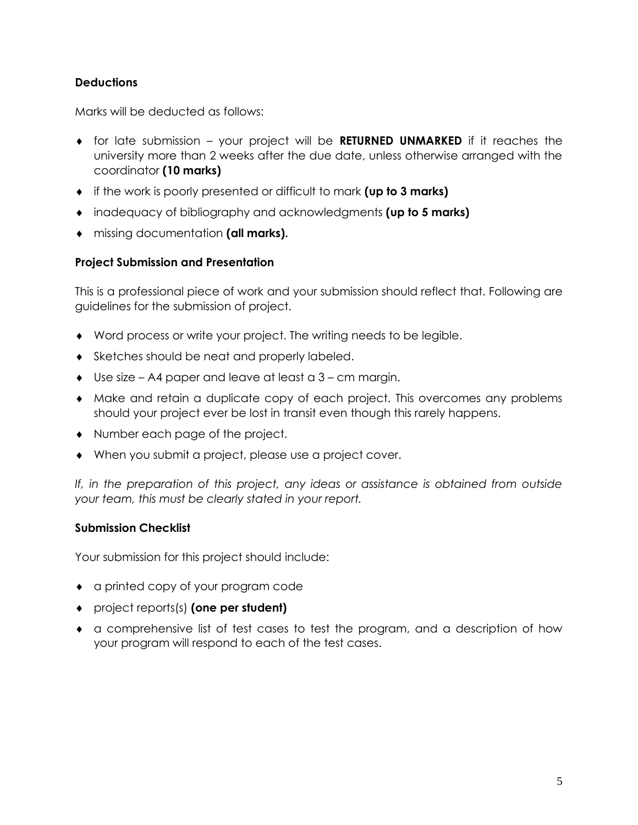#### **Deductions**

Marks will be deducted as follows:

- for late submission your project will be **RETURNED UNMARKED** if it reaches the university more than 2 weeks after the due date, unless otherwise arranged with the coordinator **(10 marks)**
- if the work is poorly presented or difficult to mark **(up to 3 marks)**
- inadequacy of bibliography and acknowledgments **(up to 5 marks)**
- missing documentation **(all marks).**

#### **Project Submission and Presentation**

This is a professional piece of work and your submission should reflect that. Following are guidelines for the submission of project.

- Word process or write your project. The writing needs to be legible.
- Sketches should be neat and properly labeled.
- Use size A4 paper and leave at least a 3 cm margin.
- Make and retain a duplicate copy of each project. This overcomes any problems should your project ever be lost in transit even though this rarely happens.
- Number each page of the project.
- When you submit a project, please use a project cover.

*If, in the preparation of this project, any ideas or assistance is obtained from outside your team, this must be clearly stated in your report.* 

#### **Submission Checklist**

Your submission for this project should include:

- a printed copy of your program code
- project reports(s) **(one per student)**
- a comprehensive list of test cases to test the program, and a description of how your program will respond to each of the test cases.